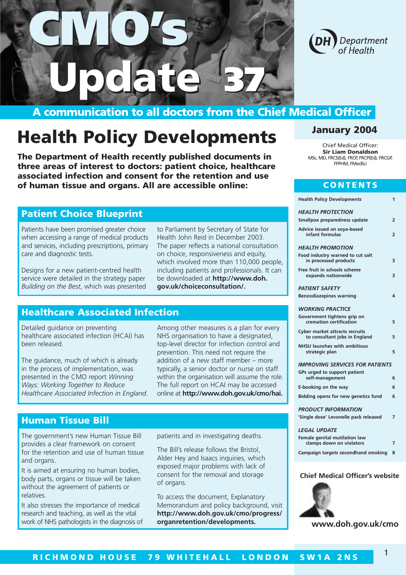

## **A communication to all doctors from the Chief Medical Officer**

**37**

**37**

# **Health Policy Developments**

**CMO's**

**Update Update**

**CMO's**

**The Department of Health recently published documents in three areas of interest to doctors: patient choice, healthcare associated infection and consent for the retention and use of human tissue and organs. All are accessible online:**

#### **Patient Choice Blueprint**

Patients have been promised greater choice when accessing a range of medical products and services, including prescriptions, primary care and diagnostic tests.

Designs for a new patient-centred health service were detailed in the strategy paper *Building on the Best*, which was presented to Parliament by Secretary of State for Health John Reid in December 2003. The paper reflects a national consultation on choice, responsiveness and equity, which involved more than 110,000 people, including patients and professionals. It can be downloaded at **http://www.doh. gov.uk/choiceconsultation/.**

#### **Healthcare Associated Infection**

Detailed guidance on preventing healthcare associated infection (HCAI) has been released.

The guidance, much of which is already in the process of implementation, was presented in the CMO report *Winning Ways: Working Together to Reduce Healthcare Associated Infection in England*. Among other measures is a plan for every NHS organisation to have a designated, top-level director for infection control and prevention. This need not require the addition of a new staff member – more typically, a senior doctor or nurse on staff within the organisation will assume the role. The full report on HCAI may be accessed online at **http://www.doh.gov.uk/cmo/hai.**

#### **Human Tissue Bill**

The government's new Human Tissue Bill provides a clear framework on consent for the retention and use of human tissue and organs.

It is aimed at ensuring no human bodies, body parts, organs or tissue will be taken without the agreement of patients or relatives.

It also stresses the importance of medical research and teaching, as well as the vital work of NHS pathologists in the diagnosis of patients and in investigating deaths.

The Bill's release follows the Bristol, Alder Hey and Isaacs inquiries, which exposed major problems with lack of consent for the removal and storage of organs.

To access the document, Explanatory Memorandum and policy background, visit **http://www.doh.gov.uk/cmo/progress/ organretention/developments.**

#### **January 2004**

Chief Medical Officer: **Sir Liam Donaldson**  MSc, MD, FRCS(Ed), FRCP, FRCP(Ed), FRCGP, FFPHM, FMedSci

#### **CONTENTS**

| <b>Health Policy Developments</b>                                      | 1              |
|------------------------------------------------------------------------|----------------|
| <b>HEALTH PROTECTION</b>                                               |                |
| Smallpox preparedness update                                           | 2              |
| Advice issued on soya-based<br>infant formulas                         | $\overline{2}$ |
| <b>HEALTH PROMOTION</b>                                                |                |
| Food industry warned to cut salt<br>in processed products              | 3              |
| Free fruit in schools scheme<br>expands nationwide                     | 3              |
| <b>PATIENT SAFETY</b>                                                  |                |
| <b>Benzodiazepines warning</b>                                         | 4              |
| <b>WORKING PRACTICE</b>                                                |                |
| Government tightens grip on<br>cremation certification                 | 5              |
| <b>Cyber market attracts recruits</b><br>to consultant jobs in England | 5              |
| <b>NHSU launches with ambitious</b><br>strategic plan                  | 5              |
| <b>IMPROVING SERVICES FOR PATIENTS</b>                                 |                |
| GPs urged to support patient<br>self-management                        | 6              |
| E-booking on the way                                                   | 6              |
| Bidding opens for new genetics fund                                    | 6              |
| <b>PRODUCT INFORMATION</b>                                             |                |
| 'Single dose' Levonelle pack released                                  | 7              |
| <b>LEGAL UPDATE</b>                                                    |                |
| Female genital mutilation law                                          |                |

 $P\Delta$ 

 $LE$ 

| clamps down on violators              |  |
|---------------------------------------|--|
| Campaign targets secondhand smoking 8 |  |
|                                       |  |

#### **Chief Medical Officer's website**



**www.doh.gov.uk/cmo**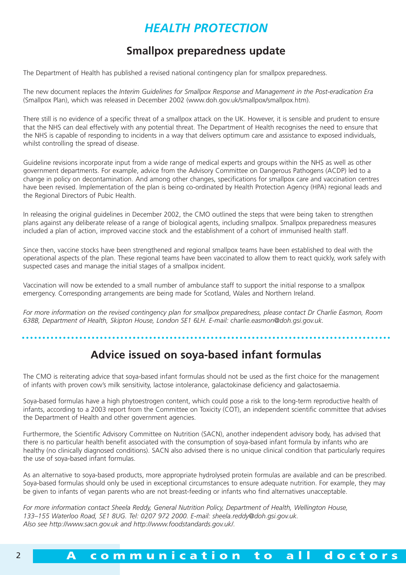## *HEALTH PROTECTION*

### **Smallpox preparedness update**

The Department of Health has published a revised national contingency plan for smallpox preparedness.

The new document replaces the *Interim Guidelines for Smallpox Response and Management in the Post-eradication Era* (Smallpox Plan), which was released in December 2002 (www.doh.gov.uk/smallpox/smallpox.htm).

There still is no evidence of a specific threat of a smallpox attack on the UK. However, it is sensible and prudent to ensure that the NHS can deal effectively with any potential threat. The Department of Health recognises the need to ensure that the NHS is capable of responding to incidents in a way that delivers optimum care and assistance to exposed individuals, whilst controlling the spread of disease.

Guideline revisions incorporate input from a wide range of medical experts and groups within the NHS as well as other government departments. For example, advice from the Advisory Committee on Dangerous Pathogens (ACDP) led to a change in policy on decontamination. And among other changes, specifications for smallpox care and vaccination centres have been revised. Implementation of the plan is being co-ordinated by Health Protection Agency (HPA) regional leads and the Regional Directors of Pubic Health.

In releasing the original guidelines in December 2002, the CMO outlined the steps that were being taken to strengthen plans against any deliberate release of a range of biological agents, including smallpox. Smallpox preparedness measures included a plan of action, improved vaccine stock and the establishment of a cohort of immunised health staff.

Since then, vaccine stocks have been strengthened and regional smallpox teams have been established to deal with the operational aspects of the plan. These regional teams have been vaccinated to allow them to react quickly, work safely with suspected cases and manage the initial stages of a smallpox incident.

Vaccination will now be extended to a small number of ambulance staff to support the initial response to a smallpox emergency. Corresponding arrangements are being made for Scotland, Wales and Northern Ireland.

*For more information on the revised contingency plan for smallpox preparedness, please contact Dr Charlie Easmon, Room 638B, Department of Health, Skipton House, London SE1 6LH. E-mail: charlie.easmon@doh.gsi.gov.uk.*

### **Advice issued on soya-based infant formulas**

The CMO is reiterating advice that soya-based infant formulas should not be used as the first choice for the management of infants with proven cow's milk sensitivity, lactose intolerance, galactokinase deficiency and galactosaemia.

Soya-based formulas have a high phytoestrogen content, which could pose a risk to the long-term reproductive health of infants, according to a 2003 report from the Committee on Toxicity (COT), an independent scientific committee that advises the Department of Health and other government agencies.

Furthermore, the Scientific Advisory Committee on Nutrition (SACN), another independent advisory body, has advised that there is no particular health benefit associated with the consumption of soya-based infant formula by infants who are healthy (no clinically diagnosed conditions). SACN also advised there is no unique clinical condition that particularly requires the use of soya-based infant formulas.

As an alternative to soya-based products, more appropriate hydrolysed protein formulas are available and can be prescribed. Soya-based formulas should only be used in exceptional circumstances to ensure adequate nutrition. For example, they may be given to infants of vegan parents who are not breast-feeding or infants who find alternatives unacceptable.

*For more information contact Sheela Reddy, General Nutrition Policy, Department of Health, Wellington House, 133–155 Waterloo Road, SE1 8UG. Tel: 0207 972 2000. E-mail: sheela.reddy@doh.gsi.gov.uk. Also see http://www.sacn.gov.uk and http://www.foodstandards.gov.uk/.*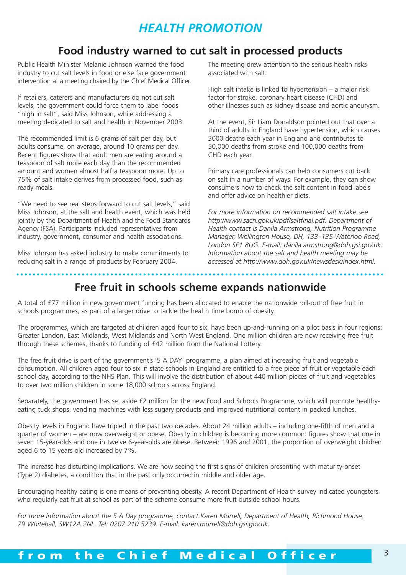## *HEALTH PROMOTION*

### **Food industry warned to cut salt in processed products**

Public Health Minister Melanie Johnson warned the food industry to cut salt levels in food or else face government intervention at a meeting chaired by the Chief Medical Officer.

If retailers, caterers and manufacturers do not cut salt levels, the government could force them to label foods "high in salt", said Miss Johnson, while addressing a meeting dedicated to salt and health in November 2003.

The recommended limit is 6 grams of salt per day, but adults consume, on average, around 10 grams per day. Recent figures show that adult men are eating around a teaspoon of salt more each day than the recommended amount and women almost half a teaspoon more. Up to 75% of salt intake derives from processed food, such as ready meals.

"We need to see real steps forward to cut salt levels," said Miss Johnson, at the salt and health event, which was held jointly by the Department of Health and the Food Standards Agency (FSA). Participants included representatives from industry, government, consumer and health associations.

Miss Johnson has asked industry to make commitments to reducing salt in a range of products by February 2004.

The meeting drew attention to the serious health risks associated with salt.

High salt intake is linked to hypertension – a major risk factor for stroke, coronary heart disease (CHD) and other illnesses such as kidney disease and aortic aneurysm.

At the event, Sir Liam Donaldson pointed out that over a third of adults in England have hypertension, which causes 3000 deaths each year in England and contributes to 50,000 deaths from stroke and 100,000 deaths from CHD each year.

Primary care professionals can help consumers cut back on salt in a number of ways. For example, they can show consumers how to check the salt content in food labels and offer advice on healthier diets.

*For more information on recommended salt intake see http://www.sacn.gov.uk/pdf/saltfinal.pdf. Department of Health contact is Danila Armstrong, Nutrition Programme Manager, Wellington House, DH, 133–135 Waterloo Road, London SE1 8UG. E-mail: danila.armstrong@doh.gsi.gov.uk. Information about the salt and health meeting may be accessed at http://www.doh.gov.uk/newsdesk/index.html.*

### **Free fruit in schools scheme expands nationwide**

A total of £77 million in new government funding has been allocated to enable the nationwide roll-out of free fruit in schools programmes, as part of a larger drive to tackle the health time bomb of obesity.

The programmes, which are targeted at children aged four to six, have been up-and-running on a pilot basis in four regions: Greater London, East Midlands, West Midlands and North West England. One million children are now receiving free fruit through these schemes, thanks to funding of £42 million from the National Lottery.

The free fruit drive is part of the government's '5 A DAY' programme, a plan aimed at increasing fruit and vegetable consumption. All children aged four to six in state schools in England are entitled to a free piece of fruit or vegetable each school day, according to the NHS Plan. This will involve the distribution of about 440 million pieces of fruit and vegetables to over two million children in some 18,000 schools across England.

Separately, the government has set aside £2 million for the new Food and Schools Programme, which will promote healthyeating tuck shops, vending machines with less sugary products and improved nutritional content in packed lunches.

Obesity levels in England have tripled in the past two decades. About 24 million adults – including one-fifth of men and a quarter of women – are now overweight or obese. Obesity in children is becoming more common: figures show that one in seven 15-year-olds and one in twelve 6-year-olds are obese. Between 1996 and 2001, the proportion of overweight children aged 6 to 15 years old increased by 7%.

The increase has disturbing implications. We are now seeing the first signs of children presenting with maturity-onset (Type 2) diabetes, a condition that in the past only occurred in middle and older age.

Encouraging healthy eating is one means of preventing obesity. A recent Department of Health survey indicated youngsters who regularly eat fruit at school as part of the scheme consume more fruit outside school hours.

*For more information about the 5 A Day programme, contact Karen Murrell, Department of Health, Richmond House, 79 Whitehall, SW12A 2NL. Tel: 0207 210 5239. E-mail: karen.murrell@doh.gsi.gov.uk.*

## <sup>3</sup> **from the Chief Medical Officer**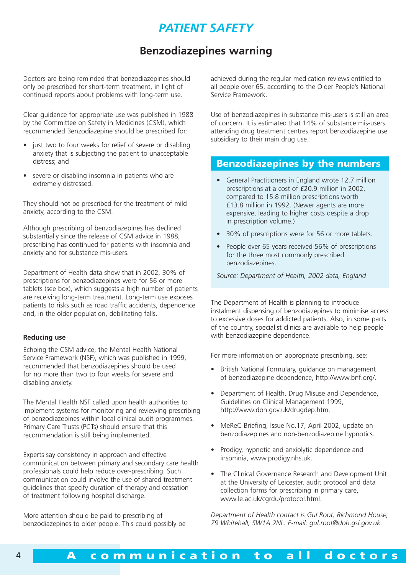## *PATIENT SAFETY*

#### **Benzodiazepines warning**

Doctors are being reminded that benzodiazepines should only be prescribed for short-term treatment, in light of continued reports about problems with long-term use.

Clear guidance for appropriate use was published in 1988 by the Committee on Safety in Medicines (CSM), which recommended Benzodiazepine should be prescribed for:

- just two to four weeks for relief of severe or disabling anxiety that is subjecting the patient to unacceptable distress; and
- severe or disabling insomnia in patients who are extremely distressed.

They should not be prescribed for the treatment of mild anxiety, according to the CSM.

Although prescribing of benzodiazepines has declined substantially since the release of CSM advice in 1988, prescribing has continued for patients with insomnia and anxiety and for substance mis-users.

Department of Health data show that in 2002, 30% of prescriptions for benzodiazepines were for 56 or more tablets (see box), which suggests a high number of patients are receiving long-term treatment. Long-term use exposes patients to risks such as road traffic accidents, dependence and, in the older population, debilitating falls.

#### **Reducing use**

Echoing the CSM advice, the Mental Health National Service Framework (NSF), which was published in 1999, recommended that benzodiazepines should be used for no more than two to four weeks for severe and disabling anxiety.

The Mental Health NSF called upon health authorities to implement systems for monitoring and reviewing prescribing of benzodiazepines within local clinical audit programmes. Primary Care Trusts (PCTs) should ensure that this recommendation is still being implemented.

Experts say consistency in approach and effective communication between primary and secondary care health professionals could help reduce over-prescribing. Such communication could involve the use of shared treatment guidelines that specify duration of therapy and cessation of treatment following hospital discharge.

More attention should be paid to prescribing of benzodiazepines to older people. This could possibly be achieved during the regular medication reviews entitled to all people over 65, according to the Older People's National Service Framework.

Use of benzodiazepines in substance mis-users is still an area of concern. It is estimated that 14% of substance mis-users attending drug treatment centres report benzodiazepine use subsidiary to their main drug use.

#### **Benzodiazepines by the numbers**

- General Practitioners in England wrote 12.7 million prescriptions at a cost of £20.9 million in 2002, compared to 15.8 million prescriptions worth £13.8 million in 1992. (Newer agents are more expensive, leading to higher costs despite a drop in prescription volume.)
- 30% of prescriptions were for 56 or more tablets.
- People over 65 years received 56% of prescriptions for the three most commonly prescribed benzodiazepines.

*Source: Department of Health, 2002 data, England*

The Department of Health is planning to introduce instalment dispensing of benzodiazepines to minimise access to excessive doses for addicted patients. Also, in some parts of the country, specialist clinics are available to help people with benzodiazepine dependence.

For more information on appropriate prescribing, see:

- British National Formulary, guidance on management of benzodiazepine dependence, http://www.bnf.org/.
- Department of Health, Drug Misuse and Dependence, Guidelines on Clinical Management 1999, http://www.doh.gov.uk/drugdep.htm.
- MeReC Briefing, Issue No.17, April 2002, update on benzodiazepines and non-benzodiazepine hypnotics.
- Prodigy, hypnotic and anxiolytic dependence and insomnia, www.prodigy.nhs.uk.
- The Clinical Governance Research and Development Unit at the University of Leicester, audit protocol and data collection forms for prescribing in primary care, www.le.ac.uk/cgrdu/protocol.html.

*Department of Health contact is Gul Root, Richmond House, 79 Whitehall, SW1A 2NL. E-mail: gul.root@doh.gsi.gov.uk.*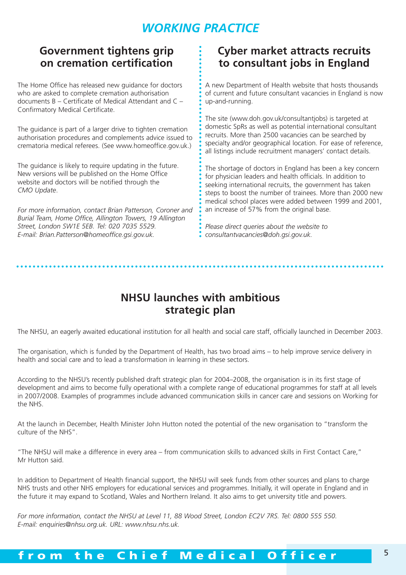## *WORKING PRACTICE*

### **Government tightens grip on cremation certification**

The Home Office has released new guidance for doctors who are asked to complete cremation authorisation documents B – Certificate of Medical Attendant and C – Confirmatory Medical Certificate.

The guidance is part of a larger drive to tighten cremation authorisation procedures and complements advice issued to crematoria medical referees. (See www.homeoffice.gov.uk.)

The guidance is likely to require updating in the future. New versions will be published on the Home Office website and doctors will be notified through the *CMO Update*.

*For more information, contact Brian Patterson, Coroner and Burial Team, Home Office, Allington Towers, 19 Allington Street, London SW1E 5EB. Tel: 020 7035 5529. E-mail: Brian.Patterson@homeoffice.gsi.gov.uk.*

### **Cyber market attracts recruits to consultant jobs in England**

A new Department of Health website that hosts thousands of current and future consultant vacancies in England is now up-and-running.

The site (www.doh.gov.uk/consultantjobs) is targeted at domestic SpRs as well as potential international consultant recruits. More than 2500 vacancies can be searched by specialty and/or geographical location. For ease of reference, all listings include recruitment managers' contact details.

The shortage of doctors in England has been a key concern for physician leaders and health officials. In addition to seeking international recruits, the government has taken steps to boost the number of trainees. More than 2000 new medical school places were added between 1999 and 2001, an increase of 57% from the original base.

*Please direct queries about the website to consultantvacancies@doh.gsi.gov.uk.*

#### **NHSU launches with ambitious strategic plan**

The NHSU, an eagerly awaited educational institution for all health and social care staff, officially launched in December 2003.

The organisation, which is funded by the Department of Health, has two broad aims – to help improve service delivery in health and social care and to lead a transformation in learning in these sectors.

According to the NHSU's recently published draft strategic plan for 2004–2008, the organisation is in its first stage of development and aims to become fully operational with a complete range of educational programmes for staff at all levels in 2007/2008. Examples of programmes include advanced communication skills in cancer care and sessions on Working for the NHS.

At the launch in December, Health Minister John Hutton noted the potential of the new organisation to "transform the culture of the NHS".

"The NHSU will make a difference in every area – from communication skills to advanced skills in First Contact Care," Mr Hutton said.

In addition to Department of Health financial support, the NHSU will seek funds from other sources and plans to charge NHS trusts and other NHS employers for educational services and programmes. Initially, it will operate in England and in the future it may expand to Scotland, Wales and Northern Ireland. It also aims to get university title and powers.

*For more information, contact the NHSU at Level 11, 88 Wood Street, London EC2V 7RS. Tel: 0800 555 550. E-mail: enquiries@nhsu.org.uk. URL: www.nhsu.nhs.uk.*

### <sup>5</sup> **from the Chief Medical Officer**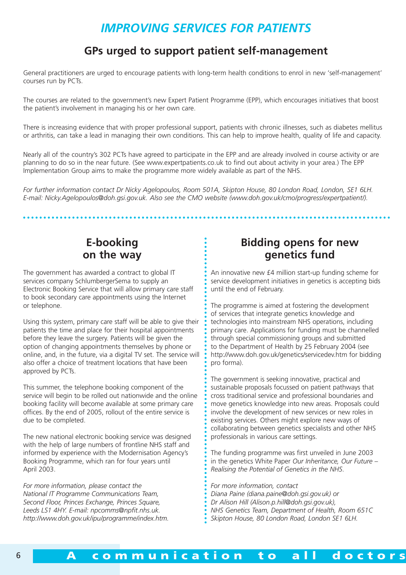### *IMPROVING SERVICES FOR PATIENTS*

#### **GPs urged to support patient self-management**

General practitioners are urged to encourage patients with long-term health conditions to enrol in new 'self-management' courses run by PCTs.

The courses are related to the government's new Expert Patient Programme (EPP), which encourages initiatives that boost the patient's involvement in managing his or her own care.

There is increasing evidence that with proper professional support, patients with chronic illnesses, such as diabetes mellitus or arthritis, can take a lead in managing their own conditions. This can help to improve health, quality of life and capacity.

Nearly all of the country's 302 PCTs have agreed to participate in the EPP and are already involved in course activity or are planning to do so in the near future. (See www.expertpatients.co.uk to find out about activity in your area.) The EPP Implementation Group aims to make the programme more widely available as part of the NHS.

*For further information contact Dr Nicky Agelopoulos, Room 501A, Skipton House, 80 London Road, London, SE1 6LH. E-mail: Nicky.Agelopoulos@doh.gsi.gov.uk. Also see the CMO website (www.doh.gov.uk/cmo/progress/expertpatient/).*

#### **E-booking on the way**

The government has awarded a contract to global IT services company SchlumbergerSema to supply an Electronic Booking Service that will allow primary care staff to book secondary care appointments using the Internet or telephone.

Using this system, primary care staff will be able to give their patients the time and place for their hospital appointments before they leave the surgery. Patients will be given the option of changing appointments themselves by phone or online, and, in the future, via a digital TV set. The service will also offer a choice of treatment locations that have been approved by PCTs.

This summer, the telephone booking component of the service will begin to be rolled out nationwide and the online booking facility will become available at some primary care offices. By the end of 2005, rollout of the entire service is due to be completed.

The new national electronic booking service was designed with the help of large numbers of frontline NHS staff and informed by experience with the Modernisation Agency's Booking Programme, which ran for four years until April 2003.

*For more information, please contact the National IT Programme Communications Team, Second Floor, Princes Exchange, Princes Square, Leeds LS1 4HY. E-mail: npcomms@npfit.nhs.uk. http://www.doh.gov.uk/ipu/programme/index.htm.*

#### **Bidding opens for new genetics fund**

An innovative new £4 million start-up funding scheme for service development initiatives in genetics is accepting bids until the end of February.

The programme is aimed at fostering the development of services that integrate genetics knowledge and technologies into mainstream NHS operations, including primary care. Applications for funding must be channelled through special commissioning groups and submitted to the Department of Health by 25 February 2004 (see http://www.doh.gov.uk/genetics/servicedev.htm for bidding pro forma).

The government is seeking innovative, practical and sustainable proposals focussed on patient pathways that cross traditional service and professional boundaries and move genetics knowledge into new areas. Proposals could involve the development of new services or new roles in existing services. Others might explore new ways of collaborating between genetics specialists and other NHS professionals in various care settings.

The funding programme was first unveiled in June 2003 in the genetics White Paper *Our Inheritance, Our Future – Realising the Potential of Genetics in the NHS*.

*For more information, contact Diana Paine (diana.paine@doh.gsi.gov.uk) or Dr Alison Hill (Alison.p.hill@doh.gsi.gov.uk), NHS Genetics Team, Department of Health, Room 651C Skipton House, 80 London Road, London SE1 6LH.*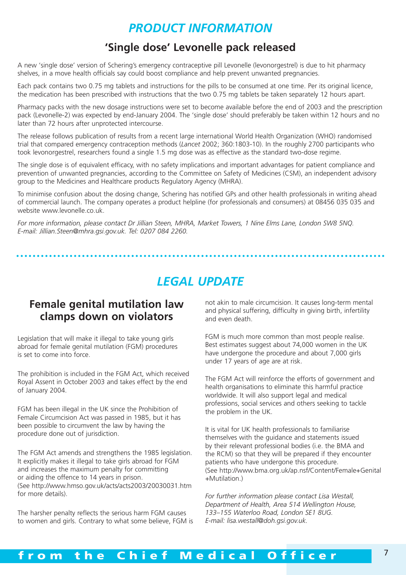### *PRODUCT INFORMATION*

#### **'Single dose' Levonelle pack released**

A new 'single dose' version of Schering's emergency contraceptive pill Levonelle (levonorgestrel) is due to hit pharmacy shelves, in a move health officials say could boost compliance and help prevent unwanted pregnancies.

Each pack contains two 0.75 mg tablets and instructions for the pills to be consumed at one time. Per its original licence, the medication has been prescribed with instructions that the two 0.75 mg tablets be taken separately 12 hours apart.

Pharmacy packs with the new dosage instructions were set to become available before the end of 2003 and the prescription pack (Levonelle-2) was expected by end-January 2004. The 'single dose' should preferably be taken within 12 hours and no later than 72 hours after unprotected intercourse.

The release follows publication of results from a recent large international World Health Organization (WHO) randomised trial that compared emergency contraception methods (*Lancet* 2002; 360:1803-10). In the roughly 2700 participants who took levonorgestrel, researchers found a single 1.5 mg dose was as effective as the standard two-dose regime.

The single dose is of equivalent efficacy, with no safety implications and important advantages for patient compliance and prevention of unwanted pregnancies, according to the Committee on Safety of Medicines (CSM), an independent advisory group to the Medicines and Healthcare products Regulatory Agency (MHRA).

To minimise confusion about the dosing change, Schering has notified GPs and other health professionals in writing ahead of commercial launch. The company operates a product helpline (for professionals and consumers) at 08456 035 035 and website www.levonelle.co.uk.

*For more information, please contact Dr Jillian Steen, MHRA, Market Towers, 1 Nine Elms Lane, London SW8 5NQ. E-mail: Jillian.Steen@mhra.gsi.gov.uk. Tel: 0207 084 2260.*

**\*\*\*\*\*\*\*\*\*\*\*\*\*** 

### *LEGAL UPDATE*

#### **Female genital mutilation law clamps down on violators**

Legislation that will make it illegal to take young girls abroad for female genital mutilation (FGM) procedures is set to come into force.

The prohibition is included in the FGM Act, which received Royal Assent in October 2003 and takes effect by the end of January 2004.

FGM has been illegal in the UK since the Prohibition of Female Circumcision Act was passed in 1985, but it has been possible to circumvent the law by having the procedure done out of jurisdiction.

The FGM Act amends and strengthens the 1985 legislation. It explicitly makes it illegal to take girls abroad for FGM and increases the maximum penalty for committing or aiding the offence to 14 years in prison. (See http://www.hmso.gov.uk/acts/acts2003/20030031.htm for more details).

The harsher penalty reflects the serious harm FGM causes to women and girls. Contrary to what some believe, FGM is not akin to male circumcision. It causes long-term mental and physical suffering, difficulty in giving birth, infertility and even death.

FGM is much more common than most people realise. Best estimates suggest about 74,000 women in the UK have undergone the procedure and about 7,000 girls under 17 years of age are at risk.

The FGM Act will reinforce the efforts of government and health organisations to eliminate this harmful practice worldwide. It will also support legal and medical professions, social services and others seeking to tackle the problem in the UK.

It is vital for UK health professionals to familiarise themselves with the guidance and statements issued by their relevant professional bodies (i.e. the BMA and the RCM) so that they will be prepared if they encounter patients who have undergone this procedure. (See http://www.bma.org.uk/ap.nsf/Content/Female+Genital +Mutilation.)

*For further information please contact Lisa Westall, Department of Health, Area 514 Wellington House, 133–155 Waterloo Road, London SE1 8UG. E-mail: lisa.westall@doh.gsi.gov.uk.*

### <sup>7</sup> **from the Chief Medical Officer**